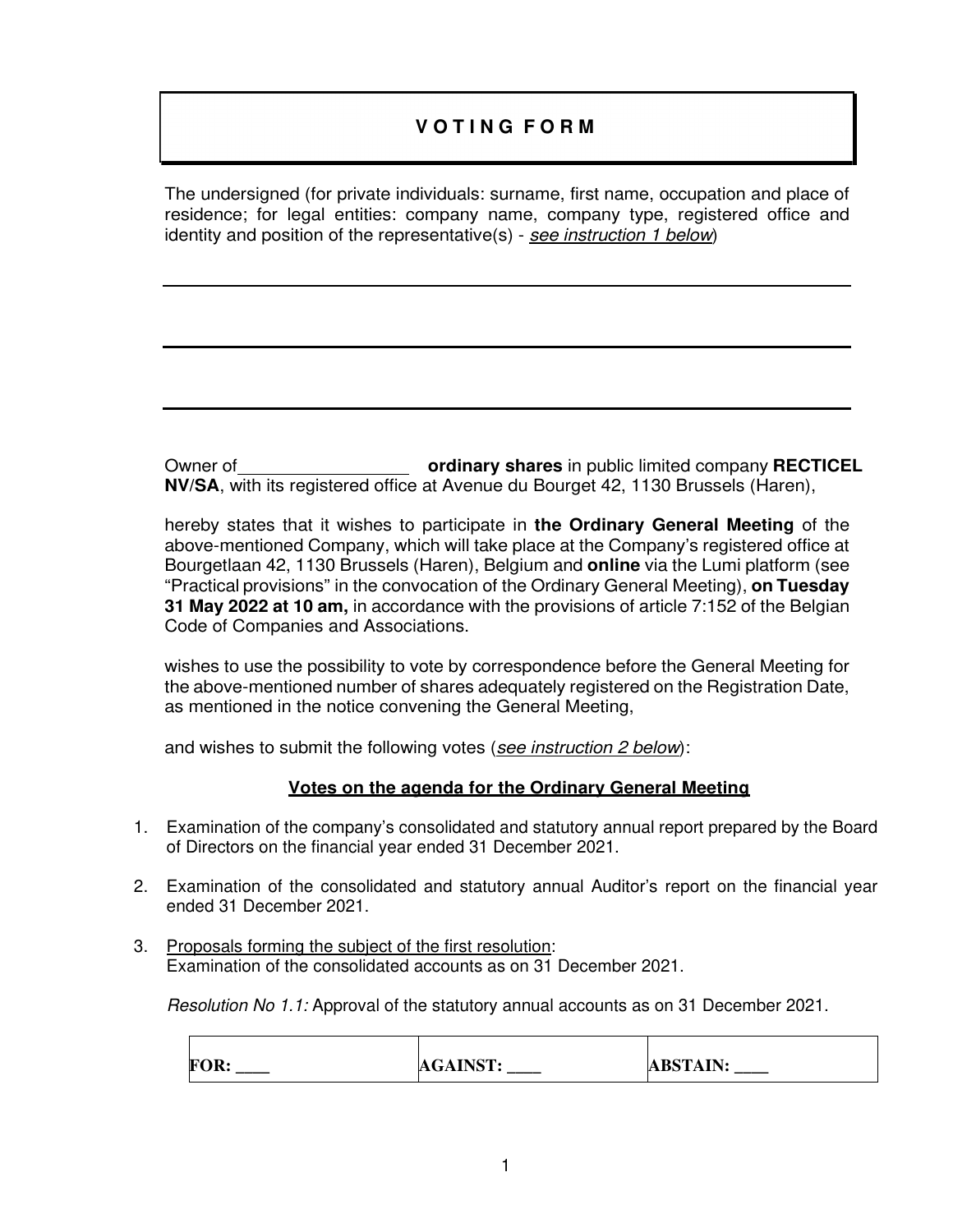# **V O T I N G F O R M**

The undersigned (for private individuals: surname, first name, occupation and place of residence; for legal entities: company name, company type, registered office and identity and position of the representative(s) - see instruction 1 below)

Owner of **ordinary shares** in public limited company **RECTICEL NV/SA**, with its registered office at Avenue du Bourget 42, 1130 Brussels (Haren),

hereby states that it wishes to participate in **the Ordinary General Meeting** of the above-mentioned Company, which will take place at the Company's registered office at Bourgetlaan 42, 1130 Brussels (Haren), Belgium and **online** via the Lumi platform (see "Practical provisions" in the convocation of the Ordinary General Meeting), **on Tuesday 31 May 2022 at 10 am,** in accordance with the provisions of article 7:152 of the Belgian Code of Companies and Associations.

wishes to use the possibility to vote by correspondence before the General Meeting for the above-mentioned number of shares adequately registered on the Registration Date, as mentioned in the notice convening the General Meeting,

and wishes to submit the following votes (see instruction 2 below):

# **Votes on the agenda for the Ordinary General Meeting**

- 1. Examination of the company's consolidated and statutory annual report prepared by the Board of Directors on the financial year ended 31 December 2021.
- 2. Examination of the consolidated and statutory annual Auditor's report on the financial year ended 31 December 2021.
- 3. Proposals forming the subject of the first resolution: Examination of the consolidated accounts as on 31 December 2021.

Resolution No 1.1: Approval of the statutory annual accounts as on 31 December 2021.

| <b>FOR:</b> | <b>AGAINST:</b> | <b>ABSTAIN:</b> |
|-------------|-----------------|-----------------|
| _____       | _____           | ______          |
|             |                 |                 |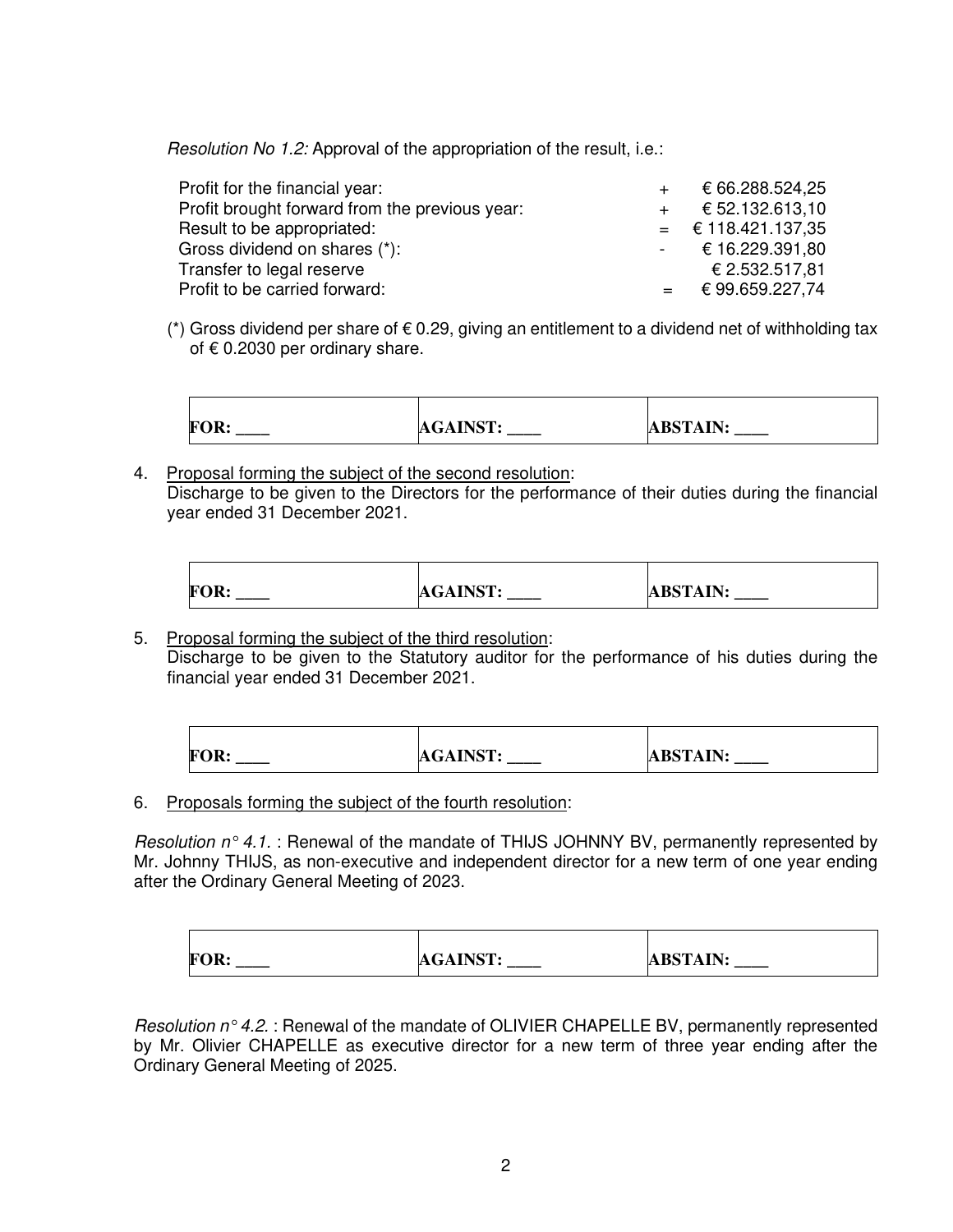Resolution No 1.2: Approval of the appropriation of the result, i.e.:

| Profit for the financial year:                 | € 66.288.524,25      |
|------------------------------------------------|----------------------|
| Profit brought forward from the previous year: | € 52.132.613.10      |
| Result to be appropriated:                     | $=$ € 118.421.137,35 |
| Gross dividend on shares (*):                  | $-$ € 16.229.391,80  |
| Transfer to legal reserve                      | € 2.532.517,81       |
| Profit to be carried forward:                  | $=$ € 99.659.227,74  |

(\*) Gross dividend per share of  $\epsilon$  0.29, giving an entitlement to a dividend net of withholding tax of  $\epsilon$  0.2030 per ordinary share.



4. Proposal forming the subject of the second resolution: Discharge to be given to the Directors for the performance of their duties during the financial year ended 31 December 2021.

| <b>FOR:</b> | <b>AGAINST:</b> | <b>ABSTAIN:</b> |
|-------------|-----------------|-----------------|
| ______      | _____           | ______          |
|             |                 |                 |

5. Proposal forming the subject of the third resolution: Discharge to be given to the Statutory auditor for the performance of his duties during the financial year ended 31 December 2021.

| <b>FOR:</b> | <b>AGAINST:</b> | <b>ABSTAIN:</b> |
|-------------|-----------------|-----------------|
| ______      | ______          | ______          |
|             |                 |                 |

6. Proposals forming the subject of the fourth resolution:

Resolution  $n^{\circ}$  4.1. : Renewal of the mandate of THIJS JOHNNY BV, permanently represented by Mr. Johnny THIJS, as non-executive and independent director for a new term of one year ending after the Ordinary General Meeting of 2023.

| <b>FOR:</b> | <b>AGAINST:</b><br>______ | <b>ABSTAIN:</b><br>_____ |
|-------------|---------------------------|--------------------------|
|             |                           |                          |

Resolution  $n^{\circ}$  4.2. : Renewal of the mandate of OLIVIER CHAPELLE BV, permanently represented by Mr. Olivier CHAPELLE as executive director for a new term of three year ending after the Ordinary General Meeting of 2025.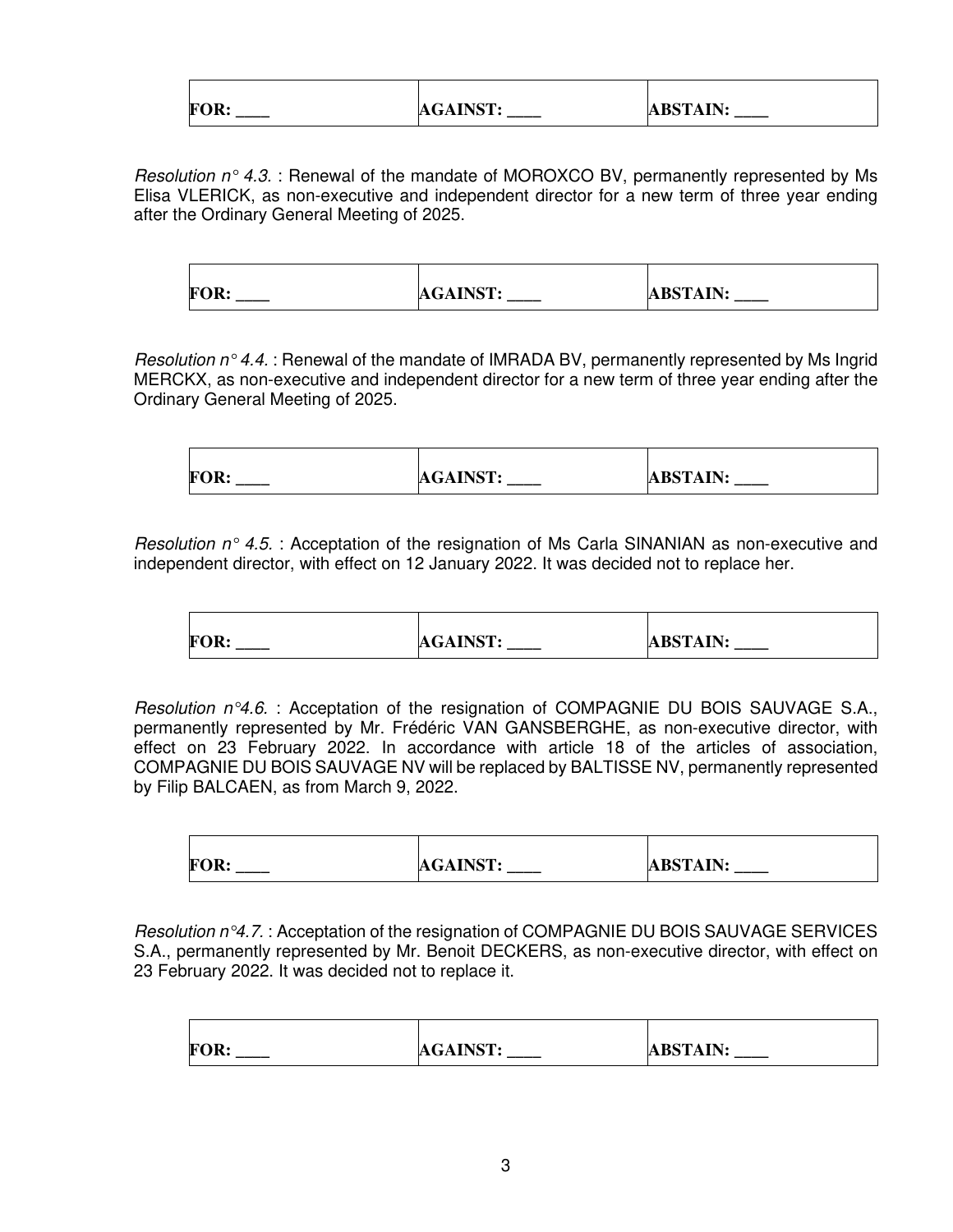| <b>FOR:</b> | <b>AGAINST:</b> | <b>ABSTAIN:</b><br>______ |
|-------------|-----------------|---------------------------|

*Resolution n° 4.3.* : Renewal of the mandate of MOROXCO BV, permanently represented by Ms Elisa VLERICK, as non-executive and independent director for a new term of three year ending after the Ordinary General Meeting of 2025.

| <b>FOR:</b> | <b>AGAINST:</b> | <b>ABSTAIN:</b> |
|-------------|-----------------|-----------------|
| ______      | ______          | ______          |

Resolution  $n \circ 4.4$ . : Renewal of the mandate of IMRADA BV, permanently represented by Ms Ingrid MERCKX, as non-executive and independent director for a new term of three year ending after the Ordinary General Meeting of 2025.

| FOR.  | <b>AGAINST.</b> | <b>ABSTAIN:</b> |
|-------|-----------------|-----------------|
| _____ | ______          | _____           |

Resolution  $n^{\circ}$  4.5. : Acceptation of the resignation of Ms Carla SINANIAN as non-executive and independent director, with effect on 12 January 2022. It was decided not to replace her.

| FOR.<br><b>AGAINST:</b><br><b>ABSTAIN:</b><br>_____ |
|-----------------------------------------------------|
|-----------------------------------------------------|

Resolution  $n^{\circ}4.6$ . : Acceptation of the resignation of COMPAGNIE DU BOIS SAUVAGE S.A., permanently represented by Mr. Frédéric VAN GANSBERGHE, as non-executive director, with effect on 23 February 2022. In accordance with article 18 of the articles of association, COMPAGNIE DU BOIS SAUVAGE NV will be replaced by BALTISSE NV, permanently represented by Filip BALCAEN, as from March 9, 2022.

| <b>FOR:</b> | <b>AGAINST:</b> | <b>ABSTAIN:</b> |
|-------------|-----------------|-----------------|
| ______      | ______          | ______          |
|             |                 |                 |

Resolution  $n^{\circ}4.7.$ : Acceptation of the resignation of COMPAGNIE DU BOIS SAUVAGE SERVICES S.A., permanently represented by Mr. Benoit DECKERS, as non-executive director, with effect on 23 February 2022. It was decided not to replace it.

| <b>FOR:</b><br>_______ | <b>AGAINST:</b><br>______ | <b>ABSTAIN:</b> |
|------------------------|---------------------------|-----------------|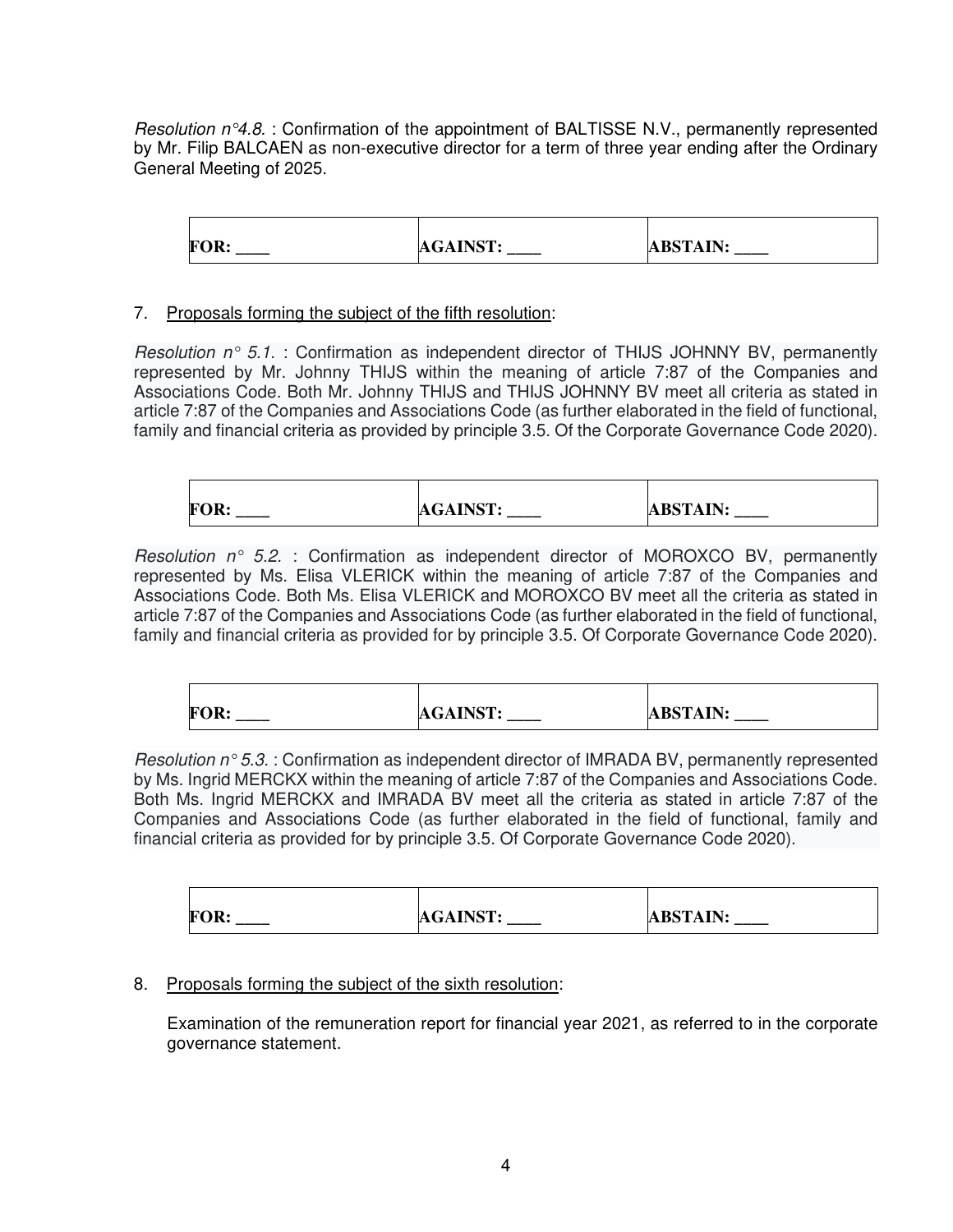Resolution  $n^{\circ}4.8$ . : Confirmation of the appointment of BALTISSE N.V., permanently represented by Mr. Filip BALCAEN as non-executive director for a term of three year ending after the Ordinary General Meeting of 2025.

FOR: AGAINST: AGAINST: ABSTAIN:

#### 7. Proposals forming the subject of the fifth resolution:

Resolution  $n^{\circ}$  5.1. : Confirmation as independent director of THIJS JOHNNY BV, permanently represented by Mr. Johnny THIJS within the meaning of article 7:87 of the Companies and Associations Code. Both Mr. Johnny THIJS and THIJS JOHNNY BV meet all criteria as stated in article 7:87 of the Companies and Associations Code (as further elaborated in the field of functional, family and financial criteria as provided by principle 3.5. Of the Corporate Governance Code 2020).

| <b>AGAINST:</b><br><b>FOR:</b> | <b>ABSTAIN:</b><br>_____<br>______ |
|--------------------------------|------------------------------------|
|--------------------------------|------------------------------------|

Resolution  $n^{\circ}$  5.2. : Confirmation as independent director of MOROXCO BV, permanently represented by Ms. Elisa VLERICK within the meaning of article 7:87 of the Companies and Associations Code. Both Ms. Elisa VLERICK and MOROXCO BV meet all the criteria as stated in article 7:87 of the Companies and Associations Code (as further elaborated in the field of functional, family and financial criteria as provided for by principle 3.5. Of Corporate Governance Code 2020).

| <b>FOR:</b> | <b>AGAINST:</b><br>_____ | <b>ABSTAIN:</b><br>_____ |
|-------------|--------------------------|--------------------------|
|             |                          |                          |

Resolution  $n^{\circ}5.3$ . : Confirmation as independent director of IMRADA BV, permanently represented by Ms. Ingrid MERCKX within the meaning of article 7:87 of the Companies and Associations Code. Both Ms. Ingrid MERCKX and IMRADA BV meet all the criteria as stated in article 7:87 of the Companies and Associations Code (as further elaborated in the field of functional, family and financial criteria as provided for by principle 3.5. Of Corporate Governance Code 2020).

| <b>FOR:</b><br>______ | <b>AGAINST:</b><br>______ | <b>ABSTAIN:</b> |
|-----------------------|---------------------------|-----------------|

#### 8. Proposals forming the subject of the sixth resolution:

 Examination of the remuneration report for financial year 2021, as referred to in the corporate governance statement.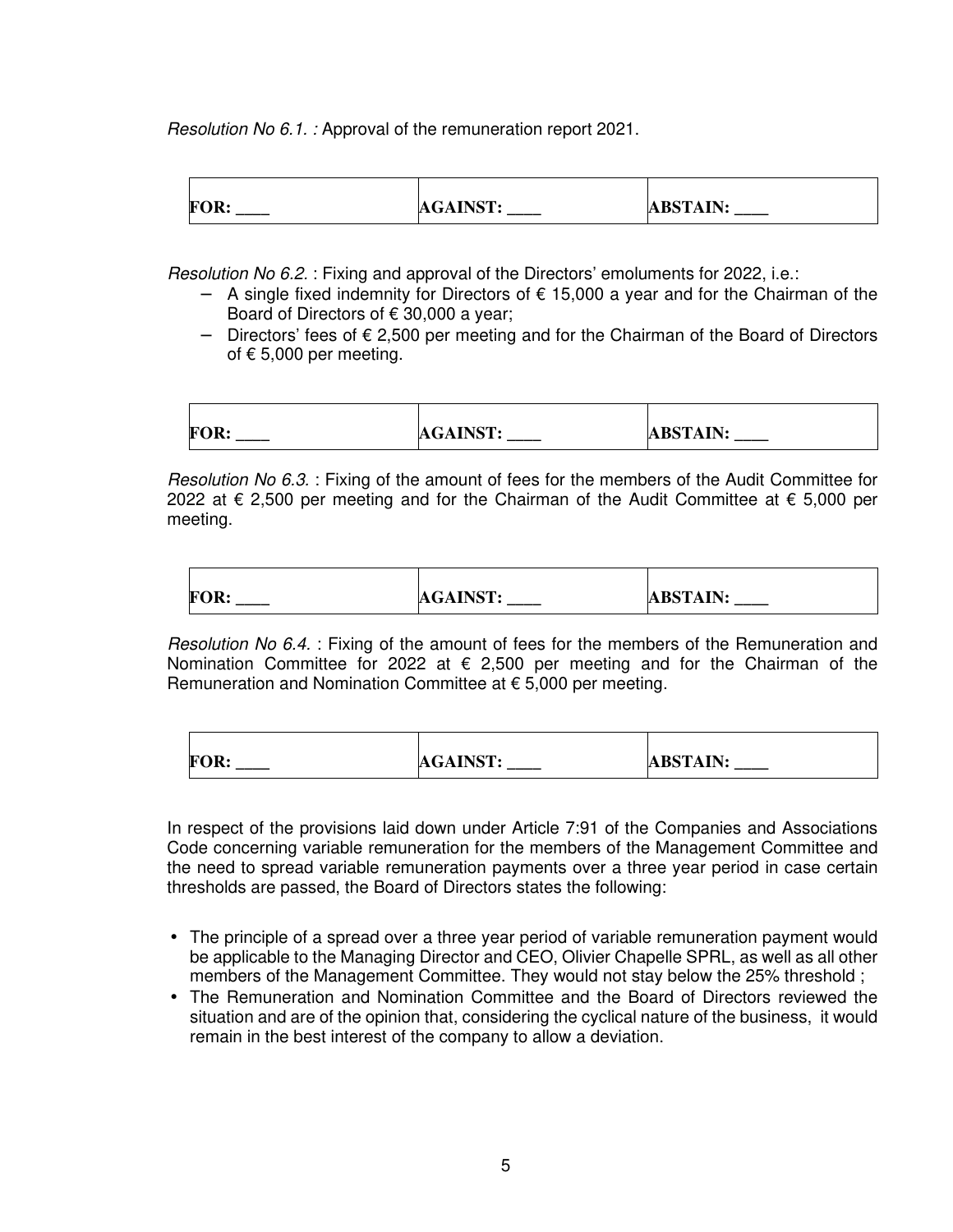Resolution No 6.1. : Approval of the remuneration report 2021.

| <b>FOR:</b> | <b>AGAINST:</b> | <b>ABSTAIN:</b> |
|-------------|-----------------|-----------------|
| ______      | ______          | ______          |

Resolution No 6.2. : Fixing and approval of the Directors' emoluments for 2022, i.e.:

- − A single fixed indemnity for Directors of € 15,000 a year and for the Chairman of the Board of Directors of  $\epsilon$  30,000 a year;
- − Directors' fees of € 2,500 per meeting and for the Chairman of the Board of Directors of  $\epsilon$  5,000 per meeting.

| <b>FOR:</b> | <b>AGAINST:</b> | <b>ABSTAIN:</b> |
|-------------|-----------------|-----------------|
|             |                 |                 |

Resolution No 6.3. : Fixing of the amount of fees for the members of the Audit Committee for 2022 at € 2,500 per meeting and for the Chairman of the Audit Committee at  $€$  5,000 per meeting.

| <b>FOR:</b> | <b>AGAINST:</b><br>______ | <b>ABSTAIN:</b><br>_____ |
|-------------|---------------------------|--------------------------|

Resolution No 6.4. : Fixing of the amount of fees for the members of the Remuneration and Nomination Committee for 2022 at € 2,500 per meeting and for the Chairman of the Remuneration and Nomination Committee at  $\epsilon$  5,000 per meeting.

| <b>FOR:</b> | <b>AGAINST:</b> | <b>ABSTAIN:</b> |
|-------------|-----------------|-----------------|
| ______      | ______          | ______          |

 In respect of the provisions laid down under Article 7:91 of the Companies and Associations Code concerning variable remuneration for the members of the Management Committee and the need to spread variable remuneration payments over a three year period in case certain thresholds are passed, the Board of Directors states the following:

- The principle of a spread over a three year period of variable remuneration payment would be applicable to the Managing Director and CEO, Olivier Chapelle SPRL, as well as all other members of the Management Committee. They would not stay below the 25% threshold ;
- The Remuneration and Nomination Committee and the Board of Directors reviewed the situation and are of the opinion that, considering the cyclical nature of the business, it would remain in the best interest of the company to allow a deviation.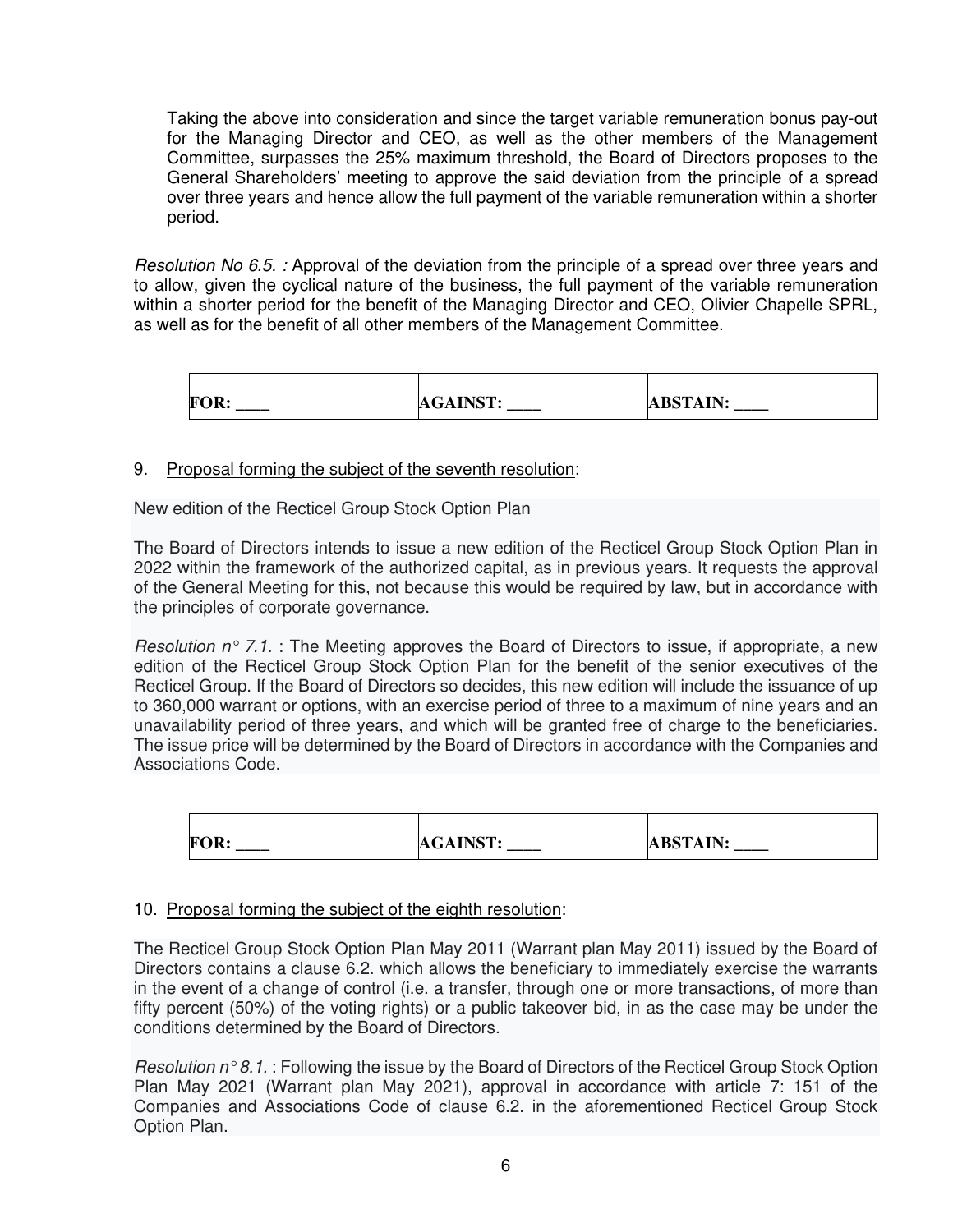Taking the above into consideration and since the target variable remuneration bonus pay-out for the Managing Director and CEO, as well as the other members of the Management Committee, surpasses the 25% maximum threshold, the Board of Directors proposes to the General Shareholders' meeting to approve the said deviation from the principle of a spread over three years and hence allow the full payment of the variable remuneration within a shorter period.

Resolution No 6.5. : Approval of the deviation from the principle of a spread over three years and to allow, given the cyclical nature of the business, the full payment of the variable remuneration within a shorter period for the benefit of the Managing Director and CEO, Olivier Chapelle SPRL, as well as for the benefit of all other members of the Management Committee.

| <b>FOR:</b> | <b>AGAINST:</b><br>______ | <b>ABSTAIN:</b><br>______ |
|-------------|---------------------------|---------------------------|

#### 9. Proposal forming the subject of the seventh resolution:

New edition of the Recticel Group Stock Option Plan

The Board of Directors intends to issue a new edition of the Recticel Group Stock Option Plan in 2022 within the framework of the authorized capital, as in previous years. It requests the approval of the General Meeting for this, not because this would be required by law, but in accordance with the principles of corporate governance.

Resolution  $n^{\circ}$  7.1. : The Meeting approves the Board of Directors to issue, if appropriate, a new edition of the Recticel Group Stock Option Plan for the benefit of the senior executives of the Recticel Group. If the Board of Directors so decides, this new edition will include the issuance of up to 360,000 warrant or options, with an exercise period of three to a maximum of nine years and an unavailability period of three years, and which will be granted free of charge to the beneficiaries. The issue price will be determined by the Board of Directors in accordance with the Companies and Associations Code.

| <b>FOR:</b> | <b>AGAINST:</b> | <b>ABSTAIN:</b> |
|-------------|-----------------|-----------------|
| ______      | ______          | ______          |

### 10. Proposal forming the subject of the eighth resolution:

The Recticel Group Stock Option Plan May 2011 (Warrant plan May 2011) issued by the Board of Directors contains a clause 6.2. which allows the beneficiary to immediately exercise the warrants in the event of a change of control (i.e. a transfer, through one or more transactions, of more than fifty percent (50%) of the voting rights) or a public takeover bid, in as the case may be under the conditions determined by the Board of Directors.

Resolution  $n \textdegree 8.1$ . : Following the issue by the Board of Directors of the Recticel Group Stock Option Plan May 2021 (Warrant plan May 2021), approval in accordance with article 7: 151 of the Companies and Associations Code of clause 6.2. in the aforementioned Recticel Group Stock Option Plan.